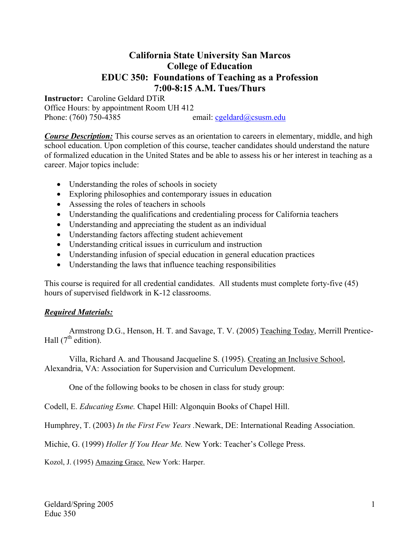## **California State University San Marcos College of Education EDUC 350: Foundations of Teaching as a Profession 7:00-8:15 A.M. Tues/Thurs**

**Instructor:** Caroline Geldard DTiR Office Hours: by appointment Room UH 412 Phone: (760) 750-4385 email: cgeldard@csusm.edu

*Course Description:* This course serves as an orientation to careers in elementary, middle, and high school education. Upon completion of this course, teacher candidates should understand the nature of formalized education in the United States and be able to assess his or her interest in teaching as a career. Major topics include:

- Understanding the roles of schools in society
- Exploring philosophies and contemporary issues in education
- Assessing the roles of teachers in schools
- Understanding the qualifications and credentialing process for California teachers
- Understanding and appreciating the student as an individual
- Understanding factors affecting student achievement
- Understanding critical issues in curriculum and instruction
- Understanding infusion of special education in general education practices
- Understanding the laws that influence teaching responsibilities

This course is required for all credential candidates. All students must complete forty-five (45) hours of supervised fieldwork in K-12 classrooms.

#### *Required Materials:*

 Armstrong D.G., Henson, H. T. and Savage, T. V. (2005) Teaching Today, Merrill Prentice-Hall  $(7^{\text{th}}$  edition).

 Villa, Richard A. and Thousand Jacqueline S. (1995). Creating an Inclusive School, Alexandria, VA: Association for Supervision and Curriculum Development.

One of the following books to be chosen in class for study group:

Codell, E. *Educating Esme.* Chapel Hill: Algonquin Books of Chapel Hill.

Humphrey, T. (2003) *In the First Few Years .*Newark, DE: International Reading Association.

Michie, G. (1999) *Holler If You Hear Me.* New York: Teacher's College Press.

Kozol, J. (1995) Amazing Grace. New York: Harper.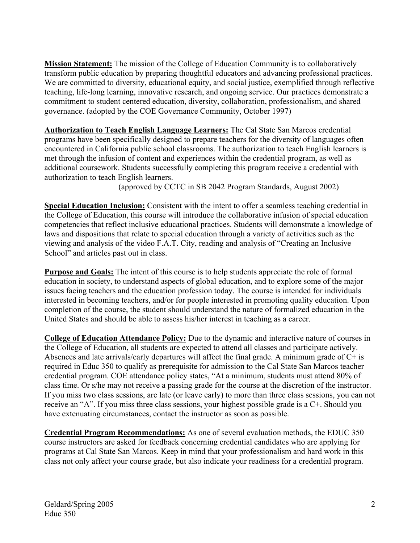**Mission Statement:** The mission of the College of Education Community is to collaboratively transform public education by preparing thoughtful educators and advancing professional practices. We are committed to diversity, educational equity, and social justice, exemplified through reflective teaching, life-long learning, innovative research, and ongoing service. Our practices demonstrate a commitment to student centered education, diversity, collaboration, professionalism, and shared governance. (adopted by the COE Governance Community, October 1997)

**Authorization to Teach English Language Learners:** The Cal State San Marcos credential programs have been specifically designed to prepare teachers for the diversity of languages often encountered in California public school classrooms. The authorization to teach English learners is met through the infusion of content and experiences within the credential program, as well as additional coursework. Students successfully completing this program receive a credential with authorization to teach English learners.

(approved by CCTC in SB 2042 Program Standards, August 2002)

**Special Education Inclusion:** Consistent with the intent to offer a seamless teaching credential in the College of Education, this course will introduce the collaborative infusion of special education competencies that reflect inclusive educational practices. Students will demonstrate a knowledge of laws and dispositions that relate to special education through a variety of activities such as the viewing and analysis of the video F.A.T. City, reading and analysis of "Creating an Inclusive School" and articles past out in class.

**Purpose and Goals:** The intent of this course is to help students appreciate the role of formal education in society, to understand aspects of global education, and to explore some of the major issues facing teachers and the education profession today. The course is intended for individuals interested in becoming teachers, and/or for people interested in promoting quality education. Upon completion of the course, the student should understand the nature of formalized education in the United States and should be able to assess his/her interest in teaching as a career.

**College of Education Attendance Policy:** Due to the dynamic and interactive nature of courses in the College of Education, all students are expected to attend all classes and participate actively. Absences and late arrivals/early departures will affect the final grade. A minimum grade of C+ is required in Educ 350 to qualify as prerequisite for admission to the Cal State San Marcos teacher credential program. COE attendance policy states, "At a minimum, students must attend 80% of class time. Or s/he may not receive a passing grade for the course at the discretion of the instructor. If you miss two class sessions, are late (or leave early) to more than three class sessions, you can not receive an "A". If you miss three class sessions, your highest possible grade is a C+. Should you have extenuating circumstances, contact the instructor as soon as possible.

**Credential Program Recommendations:** As one of several evaluation methods, the EDUC 350 course instructors are asked for feedback concerning credential candidates who are applying for programs at Cal State San Marcos. Keep in mind that your professionalism and hard work in this class not only affect your course grade, but also indicate your readiness for a credential program.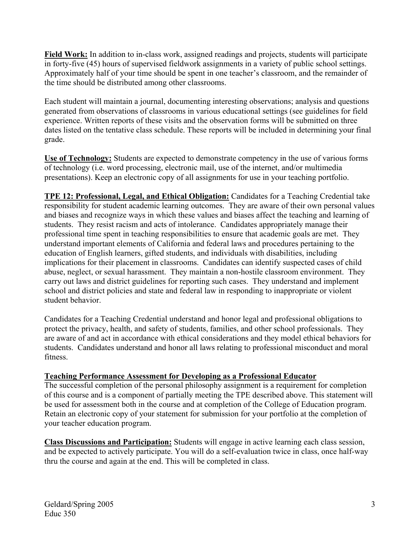**Field Work:** In addition to in-class work, assigned readings and projects, students will participate in forty-five (45) hours of supervised fieldwork assignments in a variety of public school settings. Approximately half of your time should be spent in one teacher's classroom, and the remainder of the time should be distributed among other classrooms.

Each student will maintain a journal, documenting interesting observations; analysis and questions generated from observations of classrooms in various educational settings (see guidelines for field experience. Written reports of these visits and the observation forms will be submitted on three dates listed on the tentative class schedule. These reports will be included in determining your final grade.

**Use of Technology:** Students are expected to demonstrate competency in the use of various forms of technology (i.e. word processing, electronic mail, use of the internet, and/or multimedia presentations). Keep an electronic copy of all assignments for use in your teaching portfolio.

**TPE 12: Professional, Legal, and Ethical Obligation:** Candidates for a Teaching Credential take responsibility for student academic learning outcomes. They are aware of their own personal values and biases and recognize ways in which these values and biases affect the teaching and learning of students. They resist racism and acts of intolerance. Candidates appropriately manage their professional time spent in teaching responsibilities to ensure that academic goals are met. They understand important elements of California and federal laws and procedures pertaining to the education of English learners, gifted students, and individuals with disabilities, including implications for their placement in classrooms. Candidates can identify suspected cases of child abuse, neglect, or sexual harassment. They maintain a non-hostile classroom environment. They carry out laws and district guidelines for reporting such cases. They understand and implement school and district policies and state and federal law in responding to inappropriate or violent student behavior.

Candidates for a Teaching Credential understand and honor legal and professional obligations to protect the privacy, health, and safety of students, families, and other school professionals. They are aware of and act in accordance with ethical considerations and they model ethical behaviors for students. Candidates understand and honor all laws relating to professional misconduct and moral fitness.

## **Teaching Performance Assessment for Developing as a Professional Educator**

The successful completion of the personal philosophy assignment is a requirement for completion of this course and is a component of partially meeting the TPE described above. This statement will be used for assessment both in the course and at completion of the College of Education program. Retain an electronic copy of your statement for submission for your portfolio at the completion of your teacher education program.

**Class Discussions and Participation:** Students will engage in active learning each class session, and be expected to actively participate. You will do a self-evaluation twice in class, once half-way thru the course and again at the end. This will be completed in class.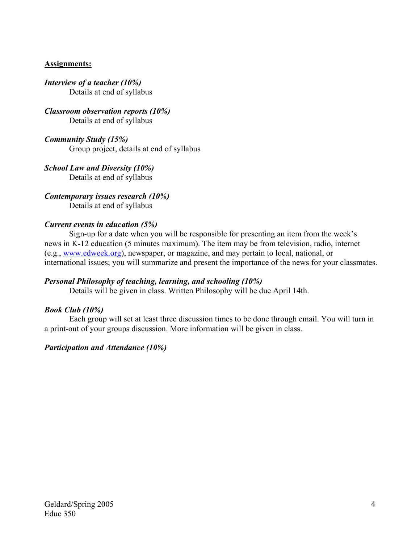## **Assignments:**

*Interview of a teacher (10%)*  Details at end of syllabus

*Classroom observation reports (10%)*  Details at end of syllabus

*Community Study (15%)*  Group project, details at end of syllabus

*School Law and Diversity (10%)*  Details at end of syllabus

*Contemporary issues research (10%)*  Details at end of syllabus

## *Current events in education (5%)*

Sign-up for a date when you will be responsible for presenting an item from the week's news in K-12 education (5 minutes maximum). The item may be from television, radio, internet (e.g., www.edweek.org), newspaper, or magazine, and may pertain to local, national, or international issues; you will summarize and present the importance of the news for your classmates.

## *Personal Philosophy of teaching, learning, and schooling (10%)*

Details will be given in class. Written Philosophy will be due April 14th.

#### *Book Club (10%)*

 Each group will set at least three discussion times to be done through email. You will turn in a print-out of your groups discussion. More information will be given in class.

#### *Participation and Attendance (10%)*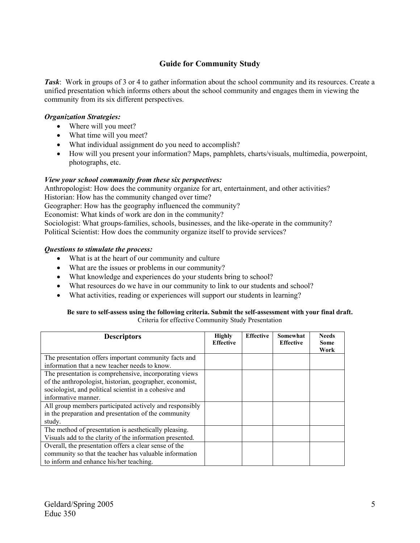## **Guide for Community Study**

*Task*: Work in groups of 3 or 4 to gather information about the school community and its resources. Create a unified presentation which informs others about the school community and engages them in viewing the community from its six different perspectives.

#### *Organization Strategies:*

- Where will you meet?
- What time will you meet?
- What individual assignment do you need to accomplish?
- How will you present your information? Maps, pamphlets, charts/visuals, multimedia, powerpoint, photographs, etc.

#### *View your school community from these six perspectives:*

Anthropologist: How does the community organize for art, entertainment, and other activities? Historian: How has the community changed over time? Geographer: How has the geography influenced the community?

Economist: What kinds of work are don in the community?

Sociologist: What groups-families, schools, businesses, and the like-operate in the community? Political Scientist: How does the community organize itself to provide services?

#### *Questions to stimulate the process:*

- What is at the heart of our community and culture
- What are the issues or problems in our community?
- What knowledge and experiences do your students bring to school?
- What resources do we have in our community to link to our students and school?
- What activities, reading or experiences will support our students in learning?

#### **Be sure to self-assess using the following criteria. Submit the self-assessment with your final draft.**  Criteria for effective Community Study Presentation

| <b>Descriptors</b>                                       | <b>Highly</b><br><b>Effective</b> | <b>Effective</b> | Somewhat<br><b>Effective</b> | <b>Needs</b><br>Some<br>Work |
|----------------------------------------------------------|-----------------------------------|------------------|------------------------------|------------------------------|
| The presentation offers important community facts and    |                                   |                  |                              |                              |
| information that a new teacher needs to know.            |                                   |                  |                              |                              |
| The presentation is comprehensive, incorporating views   |                                   |                  |                              |                              |
| of the anthropologist, historian, geographer, economist, |                                   |                  |                              |                              |
| sociologist, and political scientist in a cohesive and   |                                   |                  |                              |                              |
| informative manner.                                      |                                   |                  |                              |                              |
| All group members participated actively and responsibly  |                                   |                  |                              |                              |
| in the preparation and presentation of the community     |                                   |                  |                              |                              |
| study.                                                   |                                   |                  |                              |                              |
| The method of presentation is aesthetically pleasing.    |                                   |                  |                              |                              |
| Visuals add to the clarity of the information presented. |                                   |                  |                              |                              |
| Overall, the presentation offers a clear sense of the    |                                   |                  |                              |                              |
| community so that the teacher has valuable information   |                                   |                  |                              |                              |
| to inform and enhance his/her teaching.                  |                                   |                  |                              |                              |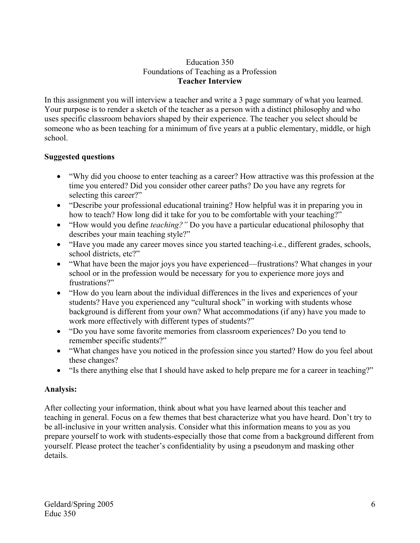## Education 350 Foundations of Teaching as a Profession **Teacher Interview**

In this assignment you will interview a teacher and write a 3 page summary of what you learned. Your purpose is to render a sketch of the teacher as a person with a distinct philosophy and who uses specific classroom behaviors shaped by their experience. The teacher you select should be someone who as been teaching for a minimum of five years at a public elementary, middle, or high school.

## **Suggested questions**

- "Why did you choose to enter teaching as a career? How attractive was this profession at the time you entered? Did you consider other career paths? Do you have any regrets for selecting this career?"
- "Describe your professional educational training? How helpful was it in preparing you in how to teach? How long did it take for you to be comfortable with your teaching?"
- "How would you define *teaching?"* Do you have a particular educational philosophy that describes your main teaching style?"
- "Have you made any career moves since you started teaching-i.e., different grades, schools, school districts, etc?"
- "What have been the major joys you have experienced—frustrations? What changes in your school or in the profession would be necessary for you to experience more joys and frustrations?"
- "How do you learn about the individual differences in the lives and experiences of your students? Have you experienced any "cultural shock" in working with students whose background is different from your own? What accommodations (if any) have you made to work more effectively with different types of students?"
- "Do you have some favorite memories from classroom experiences? Do you tend to remember specific students?"
- "What changes have you noticed in the profession since you started? How do you feel about these changes?
- "Is there anything else that I should have asked to help prepare me for a career in teaching?"

## **Analysis:**

After collecting your information, think about what you have learned about this teacher and teaching in general. Focus on a few themes that best characterize what you have heard. Don't try to be all-inclusive in your written analysis. Consider what this information means to you as you prepare yourself to work with students-especially those that come from a background different from yourself. Please protect the teacher's confidentiality by using a pseudonym and masking other details.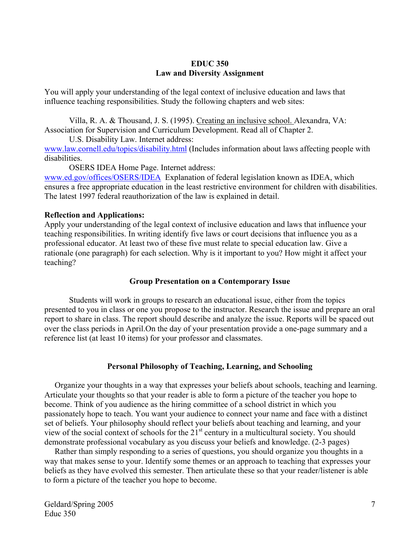### **EDUC 350 Law and Diversity Assignment**

You will apply your understanding of the legal context of inclusive education and laws that influence teaching responsibilities. Study the following chapters and web sites:

Villa, R. A. & Thousand, J. S. (1995). Creating an inclusive school. Alexandra, VA: Association for Supervision and Curriculum Development. Read all of Chapter 2.

U.S. Disability Law. Internet address: www.law.cornell.edu/topics/disability.html (Includes information about laws affecting people with disabilities.

OSERS IDEA Home Page. Internet address:

www.ed.gov/offices/OSERS/IDEA Explanation of federal legislation known as IDEA, which ensures a free appropriate education in the least restrictive environment for children with disabilities. The latest 1997 federal reauthorization of the law is explained in detail.

### **Reflection and Applications:**

Apply your understanding of the legal context of inclusive education and laws that influence your teaching responsibilities. In writing identify five laws or court decisions that influence you as a professional educator. At least two of these five must relate to special education law. Give a rationale (one paragraph) for each selection. Why is it important to you? How might it affect your teaching?

## **Group Presentation on a Contemporary Issue**

 Students will work in groups to research an educational issue, either from the topics presented to you in class or one you propose to the instructor. Research the issue and prepare an oral report to share in class. The report should describe and analyze the issue. Reports will be spaced out over the class periods in April.On the day of your presentation provide a one-page summary and a reference list (at least 10 items) for your professor and classmates.

## **Personal Philosophy of Teaching, Learning, and Schooling**

 Organize your thoughts in a way that expresses your beliefs about schools, teaching and learning. Articulate your thoughts so that your reader is able to form a picture of the teacher you hope to become. Think of you audience as the hiring committee of a school district in which you passionately hope to teach. You want your audience to connect your name and face with a distinct set of beliefs. Your philosophy should reflect your beliefs about teaching and learning, and your view of the social context of schools for the 21st century in a multicultural society. You should demonstrate professional vocabulary as you discuss your beliefs and knowledge. (2-3 pages)

 Rather than simply responding to a series of questions, you should organize you thoughts in a way that makes sense to your. Identify some themes or an approach to teaching that expresses your beliefs as they have evolved this semester. Then articulate these so that your reader/listener is able to form a picture of the teacher you hope to become.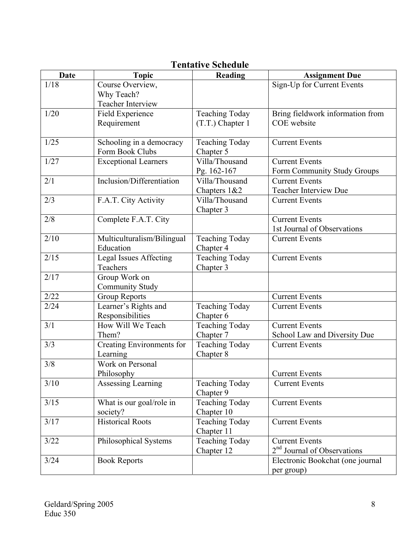| <b>Date</b> | <b>Topic</b>                  | chtative scheaale<br>Reading | <b>Assignment Due</b>                   |
|-------------|-------------------------------|------------------------------|-----------------------------------------|
| 1/18        | Course Overview,              |                              | Sign-Up for Current Events              |
|             | Why Teach?                    |                              |                                         |
|             | Teacher Interview             |                              |                                         |
| 1/20        | Field Experience              | <b>Teaching Today</b>        | Bring fieldwork information from        |
|             | Requirement                   | (T.T.) Chapter 1             | COE website                             |
|             |                               |                              |                                         |
| 1/25        | Schooling in a democracy      | <b>Teaching Today</b>        | <b>Current Events</b>                   |
|             | Form Book Clubs               | Chapter 5                    |                                         |
| 1/27        | <b>Exceptional Learners</b>   | Villa/Thousand               | <b>Current Events</b>                   |
|             |                               | Pg. 162-167                  | Form Community Study Groups             |
| 2/1         | Inclusion/Differentiation     | Villa/Thousand               | <b>Current Events</b>                   |
|             |                               | Chapters 1&2                 | <b>Teacher Interview Due</b>            |
| 2/3         | F.A.T. City Activity          | Villa/Thousand               | <b>Current Events</b>                   |
|             |                               | Chapter 3                    |                                         |
| 2/8         | Complete F.A.T. City          |                              | <b>Current Events</b>                   |
|             |                               |                              | 1st Journal of Observations             |
| 2/10        | Multiculturalism/Bilingual    | <b>Teaching Today</b>        | <b>Current Events</b>                   |
|             | Education                     | Chapter 4                    |                                         |
| 2/15        | <b>Legal Issues Affecting</b> | Teaching Today               | <b>Current Events</b>                   |
|             | Teachers                      | Chapter 3                    |                                         |
| 2/17        | Group Work on                 |                              |                                         |
|             | <b>Community Study</b>        |                              |                                         |
| 2/22        | <b>Group Reports</b>          |                              | <b>Current Events</b>                   |
| 2/24        | Learner's Rights and          | <b>Teaching Today</b>        | <b>Current Events</b>                   |
|             | Responsibilities              | Chapter 6                    |                                         |
| 3/1         | How Will We Teach             | <b>Teaching Today</b>        | <b>Current Events</b>                   |
|             | Them?                         | Chapter 7                    | School Law and Diversity Due            |
| 3/3         | Creating Environments for     | Teaching Today               | <b>Current Events</b>                   |
|             | Learning                      | Chapter 8                    |                                         |
| 3/8         | Work on Personal              |                              |                                         |
|             | Philosophy                    |                              | <b>Current Events</b>                   |
| 3/10        | Assessing Learning            | <b>Teaching Today</b>        | <b>Current Events</b>                   |
|             |                               | Chapter 9                    |                                         |
| 3/15        | What is our goal/role in      | Teaching Today               | <b>Current Events</b>                   |
|             | society?                      | Chapter 10                   |                                         |
| 3/17        | <b>Historical Roots</b>       | <b>Teaching Today</b>        | <b>Current Events</b>                   |
|             |                               | Chapter 11                   |                                         |
| 3/22        | Philosophical Systems         | <b>Teaching Today</b>        | <b>Current Events</b>                   |
|             |                               | Chapter 12                   | 2 <sup>nd</sup> Journal of Observations |
| 3/24        | <b>Book Reports</b>           |                              | Electronic Bookchat (one journal        |
|             |                               |                              | per group)                              |

# **Tentative Schedule**